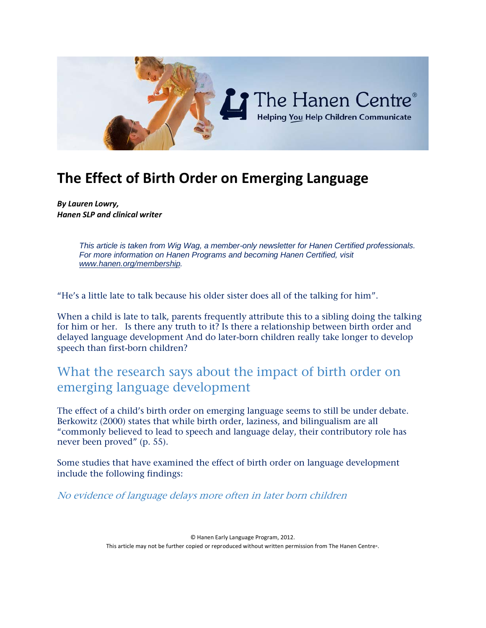

# **The Effect of Birth Order on Emerging Language**

*By Lauren Lowry, Hanen SLP and clinical writer*

> *This article is taken from Wig Wag, a member-only newsletter for Hanen Certified professionals. For more information on Hanen Programs and becoming Hanen Certified, visit [www.hanen.org/membership.](http://www.hanen.org/membership)*

"He's a little late to talk because his older sister does all of the talking for him".

When a child is late to talk, parents frequently attribute this to a sibling doing the talking for him or her. Is there any truth to it? Is there a relationship between birth order and delayed language development And do later-born children really take longer to develop speech than first-born children?

## What the research says about the impact of birth order on emerging language development

The effect of a child's birth order on emerging language seems to still be under debate. Berkowitz (2000) states that while birth order, laziness, and bilingualism are all "commonly believed to lead to speech and language delay, their contributory role has never been proved" (p. 55).

Some studies that have examined the effect of birth order on language development include the following findings:

No evidence of language delays more often in later born children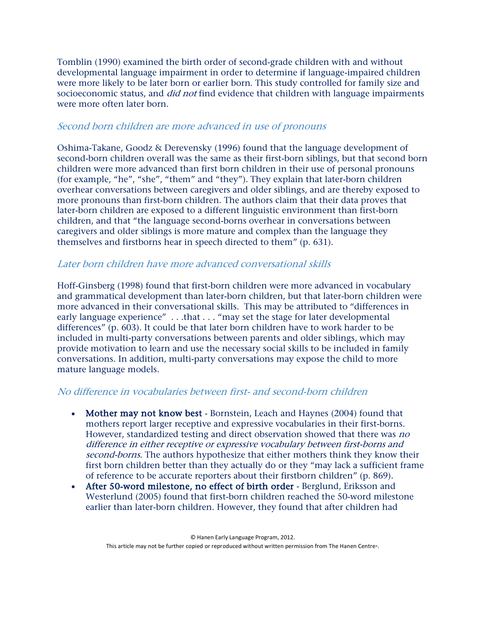Tomblin (1990) examined the birth order of second-grade children with and without developmental language impairment in order to determine if language-impaired children were more likely to be later born or earlier born. This study controlled for family size and socioeconomic status, and *did not* find evidence that children with language impairments were more often later born.

#### Second born children are more advanced in use of pronouns

Oshima-Takane, Goodz & Derevensky (1996) found that the language development of second-born children overall was the same as their first-born siblings, but that second born children were more advanced than first born children in their use of personal pronouns (for example, "he", "she", "them" and "they"). They explain that later-born children overhear conversations between caregivers and older siblings, and are thereby exposed to more pronouns than first-born children. The authors claim that their data proves that later-born children are exposed to a different linguistic environment than first-born children, and that "the language second-borns overhear in conversations between caregivers and older siblings is more mature and complex than the language they themselves and firstborns hear in speech directed to them" (p. 631).

#### Later born children have more advanced conversational skills

Hoff-Ginsberg (1998) found that first-born children were more advanced in vocabulary and grammatical development than later-born children, but that later-born children were more advanced in their conversational skills. This may be attributed to "differences in early language experience" . . .that . . . "may set the stage for later developmental differences" (p. 603). It could be that later born children have to work harder to be included in multi-party conversations between parents and older siblings, which may provide motivation to learn and use the necessary social skills to be included in family conversations. In addition, multi-party conversations may expose the child to more mature language models.

#### No difference in vocabularies between first- and second-born children

- Mother may not know best Bornstein, Leach and Haynes (2004) found that mothers report larger receptive and expressive vocabularies in their first-borns. However, standardized testing and direct observation showed that there was no difference in either receptive or expressive vocabulary between first-borns and second-borns. The authors hypothesize that either mothers think they know their first born children better than they actually do or they "may lack a sufficient frame of reference to be accurate reporters about their firstborn children" (p. 869).
- After 50-word milestone, no effect of birth order Berglund, Eriksson and Westerlund (2005) found that first-born children reached the 50-word milestone earlier than later-born children. However, they found that after children had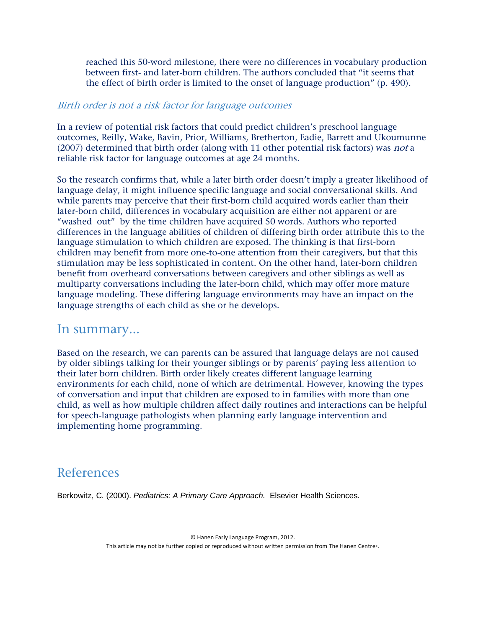reached this 50-word milestone, there were no differences in vocabulary production between first- and later-born children. The authors concluded that "it seems that the effect of birth order is limited to the onset of language production" (p. 490).

#### Birth order is not a risk factor for language outcomes

In a review of potential risk factors that could predict children's preschool language outcomes, Reilly, Wake, Bavin, Prior, Williams, Bretherton, Eadie, Barrett and Ukoumunne (2007) determined that birth order (along with 11 other potential risk factors) was *not* a reliable risk factor for language outcomes at age 24 months.

So the research confirms that, while a later birth order doesn't imply a greater likelihood of language delay, it might influence specific language and social conversational skills. And while parents may perceive that their first-born child acquired words earlier than their later-born child, differences in vocabulary acquisition are either not apparent or are "washed out" by the time children have acquired 50 words. Authors who reported differences in the language abilities of children of differing birth order attribute this to the language stimulation to which children are exposed. The thinking is that first-born children may benefit from more one-to-one attention from their caregivers, but that this stimulation may be less sophisticated in content. On the other hand, later-born children benefit from overheard conversations between caregivers and other siblings as well as multiparty conversations including the later-born child, which may offer more mature language modeling. These differing language environments may have an impact on the language strengths of each child as she or he develops.

#### In summary...

Based on the research, we can parents can be assured that language delays are not caused by older siblings talking for their younger siblings or by parents' paying less attention to their later born children. Birth order likely creates different language learning environments for each child, none of which are detrimental. However, knowing the types of conversation and input that children are exposed to in families with more than one child, as well as how multiple children affect daily routines and interactions can be helpful for speech-language pathologists when planning early language intervention and implementing home programming.

### References

Berkowitz, C. (2000). *Pediatrics: A Primary Care Approach.* Elsevier Health Sciences.